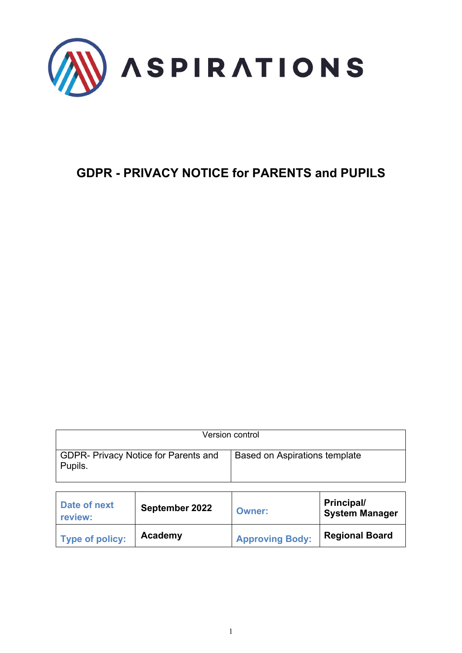

# **GDPR - PRIVACY NOTICE for PARENTS and PUPILS**

| Version control                                        |                                      |  |
|--------------------------------------------------------|--------------------------------------|--|
| <b>GDPR- Privacy Notice for Parents and</b><br>Pupils. | <b>Based on Aspirations template</b> |  |

| Date of next<br>review: | September 2022 | <b>Owner:</b>          | <b>Principal/</b><br><b>System Manager</b> |
|-------------------------|----------------|------------------------|--------------------------------------------|
| Type of policy:         | Academy        | <b>Approving Body:</b> | <b>Regional Board</b>                      |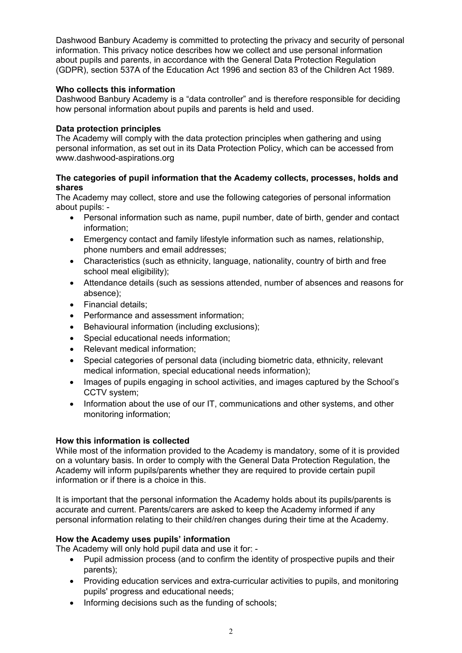Dashwood Banbury Academy is committed to protecting the privacy and security of personal information. This privacy notice describes how we collect and use personal information about pupils and parents, in accordance with the General Data Protection Regulation (GDPR), section 537A of the Education Act 1996 and section 83 of the Children Act 1989.

# **Who collects this information**

Dashwood Banbury Academy is a "data controller" and is therefore responsible for deciding how personal information about pupils and parents is held and used.

# **Data protection principles**

The Academy will comply with the data protection principles when gathering and using personal information, as set out in its Data Protection Policy, which can be accessed from www.dashwood-aspirations.org

# **The categories of pupil information that the Academy collects, processes, holds and shares**

The Academy may collect, store and use the following categories of personal information about pupils: -

- Personal information such as name, pupil number, date of birth, gender and contact information;
- Emergency contact and family lifestyle information such as names, relationship, phone numbers and email addresses;
- Characteristics (such as ethnicity, language, nationality, country of birth and free school meal eligibility);
- Attendance details (such as sessions attended, number of absences and reasons for absence);
- Financial details;
- Performance and assessment information;
- Behavioural information (including exclusions);
- Special educational needs information;
- Relevant medical information;
- Special categories of personal data (including biometric data, ethnicity, relevant medical information, special educational needs information);
- Images of pupils engaging in school activities, and images captured by the School's CCTV system;
- Information about the use of our IT, communications and other systems, and other monitoring information;

#### **How this information is collected**

While most of the information provided to the Academy is mandatory, some of it is provided on a voluntary basis. In order to comply with the General Data Protection Regulation, the Academy will inform pupils/parents whether they are required to provide certain pupil information or if there is a choice in this.

It is important that the personal information the Academy holds about its pupils/parents is accurate and current. Parents/carers are asked to keep the Academy informed if any personal information relating to their child/ren changes during their time at the Academy.

#### **How the Academy uses pupils' information**

The Academy will only hold pupil data and use it for: -

- Pupil admission process (and to confirm the identity of prospective pupils and their parents);
- Providing education services and extra-curricular activities to pupils, and monitoring pupils' progress and educational needs;
- Informing decisions such as the funding of schools;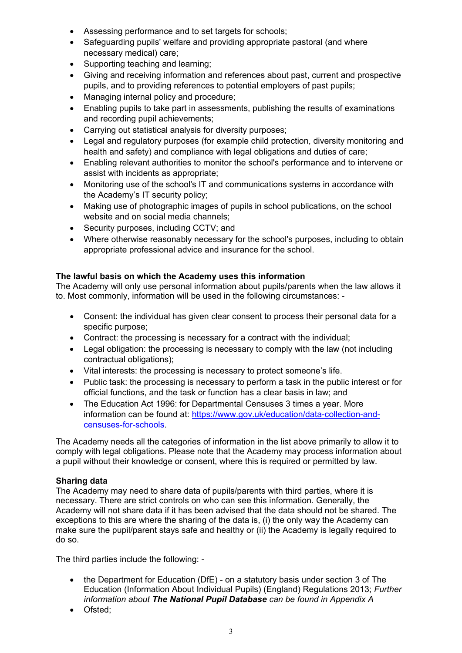- Assessing performance and to set targets for schools;
- Safeguarding pupils' welfare and providing appropriate pastoral (and where necessary medical) care;
- Supporting teaching and learning;
- Giving and receiving information and references about past, current and prospective pupils, and to providing references to potential employers of past pupils;
- Managing internal policy and procedure;
- Enabling pupils to take part in assessments, publishing the results of examinations and recording pupil achievements;
- Carrying out statistical analysis for diversity purposes;
- Legal and regulatory purposes (for example child protection, diversity monitoring and health and safety) and compliance with legal obligations and duties of care;
- Enabling relevant authorities to monitor the school's performance and to intervene or assist with incidents as appropriate;
- Monitoring use of the school's IT and communications systems in accordance with the Academy's IT security policy;
- Making use of photographic images of pupils in school publications, on the school website and on social media channels;
- Security purposes, including CCTV; and
- Where otherwise reasonably necessary for the school's purposes, including to obtain appropriate professional advice and insurance for the school.

#### **The lawful basis on which the Academy uses this information**

The Academy will only use personal information about pupils/parents when the law allows it to. Most commonly, information will be used in the following circumstances: -

- Consent: the individual has given clear consent to process their personal data for a specific purpose;
- Contract: the processing is necessary for a contract with the individual;
- Legal obligation: the processing is necessary to comply with the law (not including contractual obligations);
- Vital interests: the processing is necessary to protect someone's life.
- Public task: the processing is necessary to perform a task in the public interest or for official functions, and the task or function has a clear basis in law; and
- The Education Act 1996: for Departmental Censuses 3 times a year. More information can be found at: [https://www.gov.uk/education/data-collection-and](https://www.gov.uk/education/data-collection-and-censuses-for-schools)[censuses-for-schools.](https://www.gov.uk/education/data-collection-and-censuses-for-schools)

The Academy needs all the categories of information in the list above primarily to allow it to comply with legal obligations. Please note that the Academy may process information about a pupil without their knowledge or consent, where this is required or permitted by law.

#### **Sharing data**

The Academy may need to share data of pupils/parents with third parties, where it is necessary. There are strict controls on who can see this information. Generally, the Academy will not share data if it has been advised that the data should not be shared. The exceptions to this are where the sharing of the data is, (i) the only way the Academy can make sure the pupil/parent stays safe and healthy or (ii) the Academy is legally required to do so.

The third parties include the following: -

- the Department for Education (DfE) on a statutory basis under section 3 of The Education (Information About Individual Pupils) (England) Regulations 2013; *Further information about The National Pupil Database can be found in Appendix A*
- Ofsted;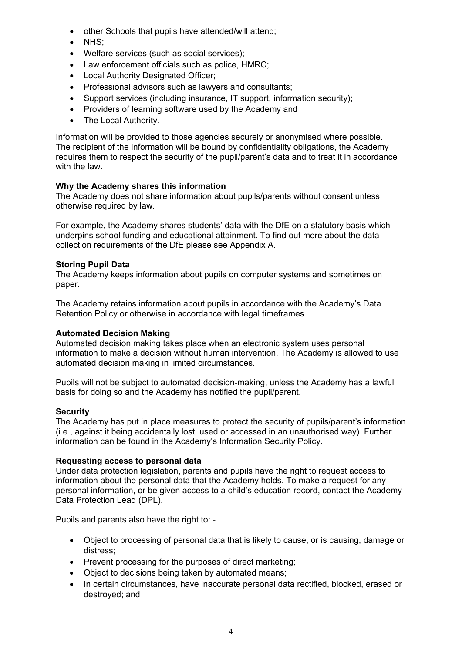- other Schools that pupils have attended/will attend;
- NHS;
- Welfare services (such as social services);
- Law enforcement officials such as police, HMRC;
- Local Authority Designated Officer;
- Professional advisors such as lawyers and consultants;
- Support services (including insurance, IT support, information security);
- Providers of learning software used by the Academy and
- The Local Authority.

Information will be provided to those agencies securely or anonymised where possible. The recipient of the information will be bound by confidentiality obligations, the Academy requires them to respect the security of the pupil/parent's data and to treat it in accordance with the law.

#### **Why the Academy shares this information**

The Academy does not share information about pupils/parents without consent unless otherwise required by law.

For example, the Academy shares students' data with the DfE on a statutory basis which underpins school funding and educational attainment. To find out more about the data collection requirements of the DfE please see Appendix A.

#### **Storing Pupil Data**

The Academy keeps information about pupils on computer systems and sometimes on paper.

The Academy retains information about pupils in accordance with the Academy's Data Retention Policy or otherwise in accordance with legal timeframes.

#### **Automated Decision Making**

Automated decision making takes place when an electronic system uses personal information to make a decision without human intervention. The Academy is allowed to use automated decision making in limited circumstances.

Pupils will not be subject to automated decision-making, unless the Academy has a lawful basis for doing so and the Academy has notified the pupil/parent.

## **Security**

The Academy has put in place measures to protect the security of pupils/parent's information (i.e., against it being accidentally lost, used or accessed in an unauthorised way). Further information can be found in the Academy's Information Security Policy.

#### **Requesting access to personal data**

Under data protection legislation, parents and pupils have the right to request access to information about the personal data that the Academy holds. To make a request for any personal information, or be given access to a child's education record, contact the Academy Data Protection Lead (DPL).

Pupils and parents also have the right to: -

- Object to processing of personal data that is likely to cause, or is causing, damage or distress;
- Prevent processing for the purposes of direct marketing;
- Object to decisions being taken by automated means;
- In certain circumstances, have inaccurate personal data rectified, blocked, erased or destroyed; and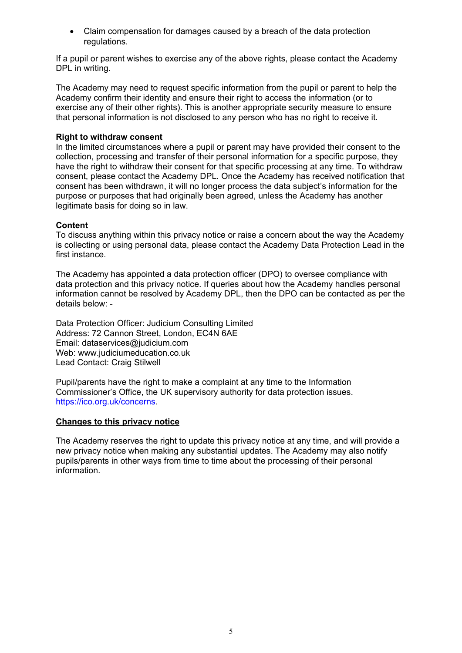• Claim compensation for damages caused by a breach of the data protection regulations.

If a pupil or parent wishes to exercise any of the above rights, please contact the Academy DPL in writing.

The Academy may need to request specific information from the pupil or parent to help the Academy confirm their identity and ensure their right to access the information (or to exercise any of their other rights). This is another appropriate security measure to ensure that personal information is not disclosed to any person who has no right to receive it.

# **Right to withdraw consent**

In the limited circumstances where a pupil or parent may have provided their consent to the collection, processing and transfer of their personal information for a specific purpose, they have the right to withdraw their consent for that specific processing at any time. To withdraw consent, please contact the Academy DPL. Once the Academy has received notification that consent has been withdrawn, it will no longer process the data subject's information for the purpose or purposes that had originally been agreed, unless the Academy has another legitimate basis for doing so in law.

# **Content**

To discuss anything within this privacy notice or raise a concern about the way the Academy is collecting or using personal data, please contact the Academy Data Protection Lead in the first instance.

The Academy has appointed a data protection officer (DPO) to oversee compliance with data protection and this privacy notice. If queries about how the Academy handles personal information cannot be resolved by Academy DPL, then the DPO can be contacted as per the details below: -

Data Protection Officer: Judicium Consulting Limited Address: 72 Cannon Street, London, EC4N 6AE Email: [dataservices@judicium.com](mailto:dataservices@judicium.com) Web: www.judiciumeducation.co.uk Lead Contact: Craig Stilwell

Pupil/parents have the right to make a complaint at any time to the Information Commissioner's Office, the UK supervisory authority for data protection issues. [https://ico.org.uk/concerns.](https://ico.org.uk/concerns)

## **Changes to this privacy notice**

The Academy reserves the right to update this privacy notice at any time, and will provide a new privacy notice when making any substantial updates. The Academy may also notify pupils/parents in other ways from time to time about the processing of their personal information.